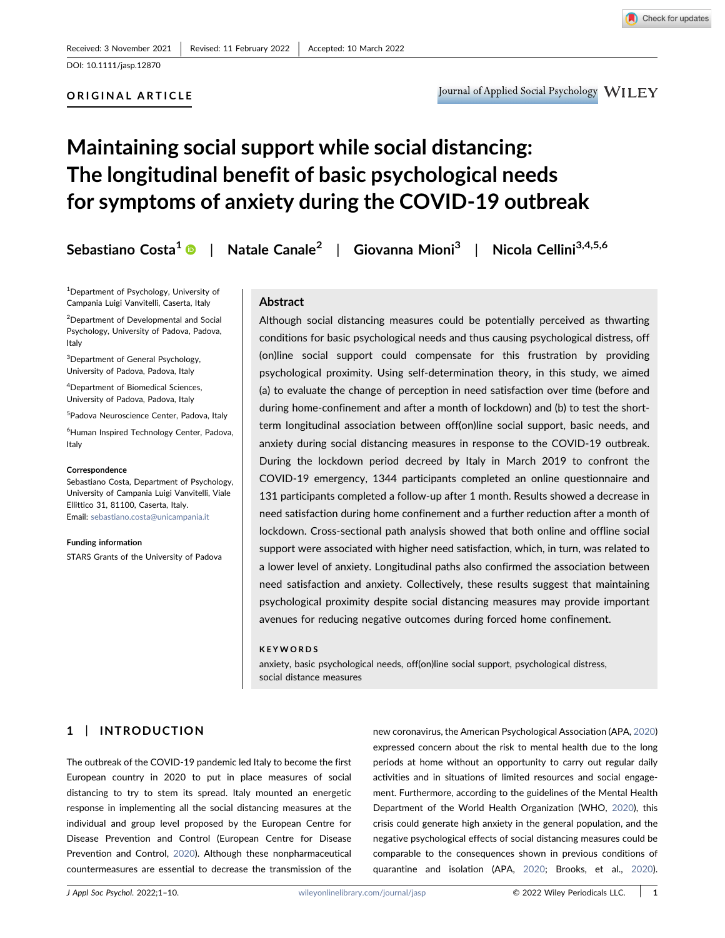DOI: 10.1111/jasp.12870

## ORIGINAL ARTICLE

# Maintaining social support while social distancing: The longitudinal benefit of basic psychological needs for symptoms of anxiety during the COVID‐19 outbreak

Sebastiano Costa<sup>1</sup> | Natale Canale<sup>2</sup> | Giovanna Mioni<sup>3</sup> | Nicola Cellini<sup>3,4,5,6</sup>

<sup>1</sup>Department of Psychology, University of Campania Luigi Vanvitelli, Caserta, Italy

<sup>2</sup> Department of Developmental and Social Psychology, University of Padova, Padova, Italy

<sup>3</sup>Department of General Psychology, University of Padova, Padova, Italy

4 Department of Biomedical Sciences, University of Padova, Padova, Italy

<sup>5</sup>Padova Neuroscience Center, Padova, Italy

6 Human Inspired Technology Center, Padova, Italy

#### **Correspondence**

Sebastiano Costa, Department of Psychology, University of Campania Luigi Vanvitelli, Viale Ellittico 31, 81100, Caserta, Italy. Email: sebastiano.costa@unicampania.it

Funding information STARS Grants of the University of Padova

## Abstract

Although social distancing measures could be potentially perceived as thwarting conditions for basic psychological needs and thus causing psychological distress, off (on)line social support could compensate for this frustration by providing psychological proximity. Using self‐determination theory, in this study, we aimed (a) to evaluate the change of perception in need satisfaction over time (before and during home-confinement and after a month of lockdown) and (b) to test the shortterm longitudinal association between off(on)line social support, basic needs, and anxiety during social distancing measures in response to the COVID‐19 outbreak. During the lockdown period decreed by Italy in March 2019 to confront the COVID‐19 emergency, 1344 participants completed an online questionnaire and 131 participants completed a follow‐up after 1 month. Results showed a decrease in need satisfaction during home confinement and a further reduction after a month of lockdown. Cross‐sectional path analysis showed that both online and offline social support were associated with higher need satisfaction, which, in turn, was related to a lower level of anxiety. Longitudinal paths also confirmed the association between need satisfaction and anxiety. Collectively, these results suggest that maintaining psychological proximity despite social distancing measures may provide important avenues for reducing negative outcomes during forced home confinement.

#### KEYWORDS

anxiety, basic psychological needs, off(on)line social support, psychological distress, social distance measures

# 1 | INTRODUCTION

The outbreak of the COVID‐19 pandemic led Italy to become the first European country in 2020 to put in place measures of social distancing to try to stem its spread. Italy mounted an energetic response in implementing all the social distancing measures at the individual and group level proposed by the European Centre for Disease Prevention and Control (European Centre for Disease Prevention and Control, 2020). Although these nonpharmaceutical countermeasures are essential to decrease the transmission of the

new coronavirus, the American Psychological Association (APA, 2020) expressed concern about the risk to mental health due to the long periods at home without an opportunity to carry out regular daily activities and in situations of limited resources and social engagement. Furthermore, according to the guidelines of the Mental Health Department of the World Health Organization (WHO, 2020), this crisis could generate high anxiety in the general population, and the negative psychological effects of social distancing measures could be comparable to the consequences shown in previous conditions of quarantine and isolation (APA, 2020; Brooks, et al., 2020).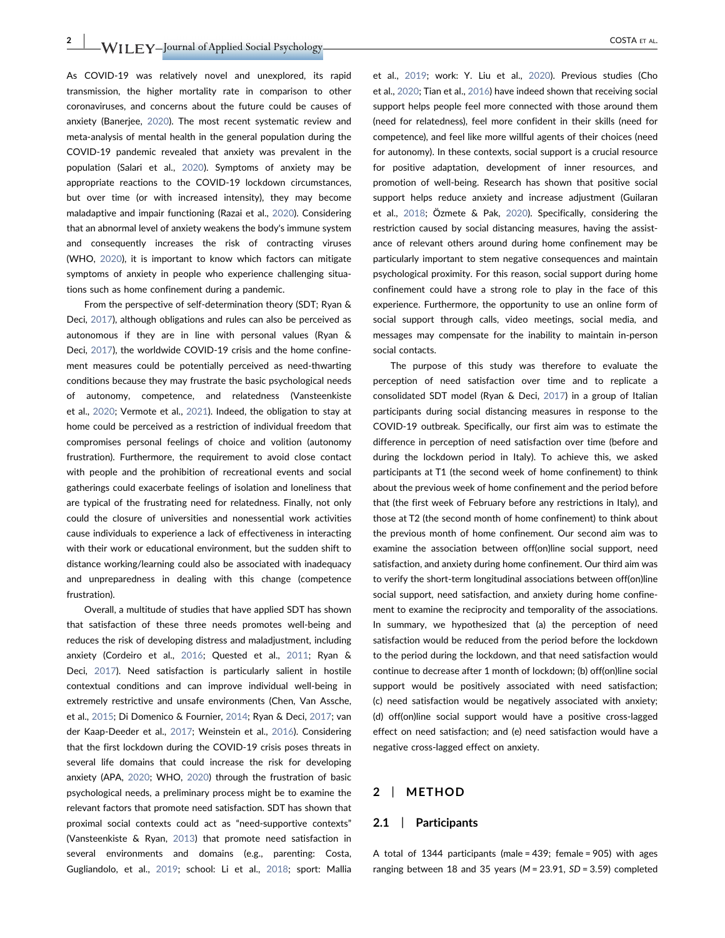$\rm WILEY$ –Journal of Applied Social Psychology $\rm WILEY$ –Journal of Applied Social Psychology $\rm WILEY$ –Journal of Applied Social Psychology $\rm WIEY$ 

As COVID‐19 was relatively novel and unexplored, its rapid transmission, the higher mortality rate in comparison to other coronaviruses, and concerns about the future could be causes of anxiety (Banerjee, 2020). The most recent systematic review and meta‐analysis of mental health in the general population during the COVID‐19 pandemic revealed that anxiety was prevalent in the population (Salari et al., 2020). Symptoms of anxiety may be appropriate reactions to the COVID‐19 lockdown circumstances, but over time (or with increased intensity), they may become maladaptive and impair functioning (Razai et al., 2020). Considering that an abnormal level of anxiety weakens the body's immune system and consequently increases the risk of contracting viruses (WHO, 2020), it is important to know which factors can mitigate symptoms of anxiety in people who experience challenging situations such as home confinement during a pandemic.

From the perspective of self‐determination theory (SDT; Ryan & Deci, 2017), although obligations and rules can also be perceived as autonomous if they are in line with personal values (Ryan & Deci, 2017), the worldwide COVID-19 crisis and the home confinement measures could be potentially perceived as need-thwarting conditions because they may frustrate the basic psychological needs of autonomy, competence, and relatedness (Vansteenkiste et al., 2020; Vermote et al., 2021). Indeed, the obligation to stay at home could be perceived as a restriction of individual freedom that compromises personal feelings of choice and volition (autonomy frustration). Furthermore, the requirement to avoid close contact with people and the prohibition of recreational events and social gatherings could exacerbate feelings of isolation and loneliness that are typical of the frustrating need for relatedness. Finally, not only could the closure of universities and nonessential work activities cause individuals to experience a lack of effectiveness in interacting with their work or educational environment, but the sudden shift to distance working/learning could also be associated with inadequacy and unpreparedness in dealing with this change (competence frustration).

Overall, a multitude of studies that have applied SDT has shown that satisfaction of these three needs promotes well‐being and reduces the risk of developing distress and maladjustment, including anxiety (Cordeiro et al., 2016; Quested et al., 2011; Ryan & Deci, 2017). Need satisfaction is particularly salient in hostile contextual conditions and can improve individual well‐being in extremely restrictive and unsafe environments (Chen, Van Assche, et al., 2015; Di Domenico & Fournier, 2014; Ryan & Deci, 2017; van der Kaap‐Deeder et al., 2017; Weinstein et al., 2016). Considering that the first lockdown during the COVID‐19 crisis poses threats in several life domains that could increase the risk for developing anxiety (APA, 2020; WHO, 2020) through the frustration of basic psychological needs, a preliminary process might be to examine the relevant factors that promote need satisfaction. SDT has shown that proximal social contexts could act as "need-supportive contexts" (Vansteenkiste & Ryan, 2013) that promote need satisfaction in several environments and domains (e.g., parenting: Costa, Gugliandolo, et al., 2019; school: Li et al., 2018; sport: Mallia et al., 2019; work: Y. Liu et al., 2020). Previous studies (Cho et al., 2020; Tian et al., 2016) have indeed shown that receiving social support helps people feel more connected with those around them (need for relatedness), feel more confident in their skills (need for competence), and feel like more willful agents of their choices (need for autonomy). In these contexts, social support is a crucial resource for positive adaptation, development of inner resources, and promotion of well‐being. Research has shown that positive social support helps reduce anxiety and increase adjustment (Guilaran et al., 2018; Özmete & Pak, 2020). Specifically, considering the restriction caused by social distancing measures, having the assistance of relevant others around during home confinement may be particularly important to stem negative consequences and maintain psychological proximity. For this reason, social support during home confinement could have a strong role to play in the face of this experience. Furthermore, the opportunity to use an online form of social support through calls, video meetings, social media, and messages may compensate for the inability to maintain in‐person social contacts.

The purpose of this study was therefore to evaluate the perception of need satisfaction over time and to replicate a consolidated SDT model (Ryan & Deci, 2017) in a group of Italian participants during social distancing measures in response to the COVID‐19 outbreak. Specifically, our first aim was to estimate the difference in perception of need satisfaction over time (before and during the lockdown period in Italy). To achieve this, we asked participants at T1 (the second week of home confinement) to think about the previous week of home confinement and the period before that (the first week of February before any restrictions in Italy), and those at T2 (the second month of home confinement) to think about the previous month of home confinement. Our second aim was to examine the association between off(on)line social support, need satisfaction, and anxiety during home confinement. Our third aim was to verify the short-term longitudinal associations between off(on)line social support, need satisfaction, and anxiety during home confinement to examine the reciprocity and temporality of the associations. In summary, we hypothesized that (a) the perception of need satisfaction would be reduced from the period before the lockdown to the period during the lockdown, and that need satisfaction would continue to decrease after 1 month of lockdown; (b) off(on)line social support would be positively associated with need satisfaction; (c) need satisfaction would be negatively associated with anxiety; (d) off(on)line social support would have a positive cross‐lagged effect on need satisfaction; and (e) need satisfaction would have a negative cross‐lagged effect on anxiety.

## 2 | METHOD

## 2.1 | Participants

A total of 1344 participants (male = 439; female = 905) with ages ranging between 18 and 35 years ( $M = 23.91$ ,  $SD = 3.59$ ) completed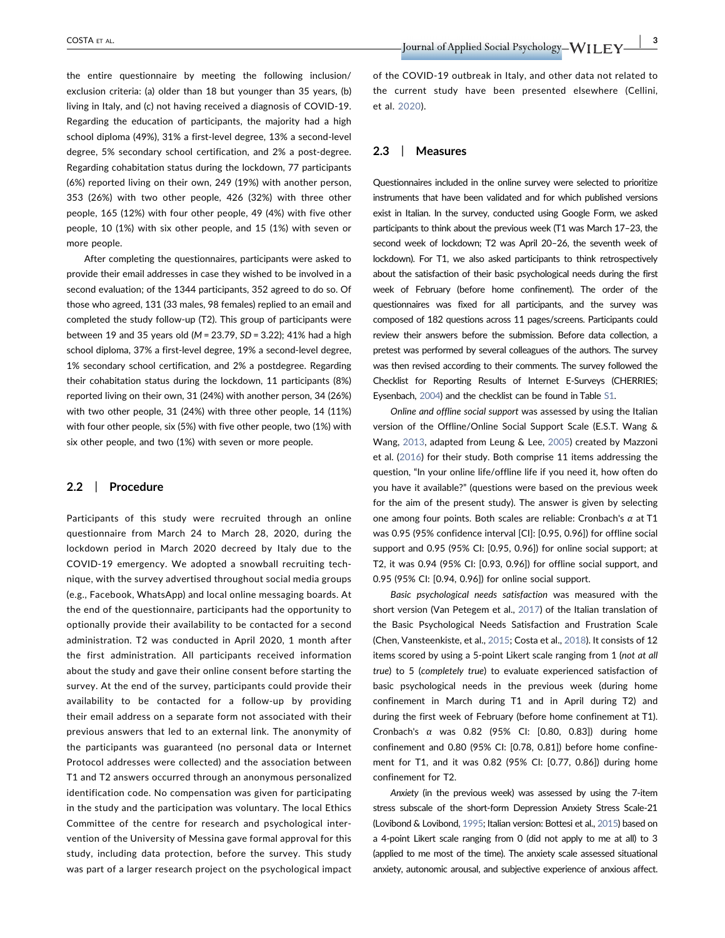the entire questionnaire by meeting the following inclusion/ exclusion criteria: (a) older than 18 but younger than 35 years, (b) living in Italy, and (c) not having received a diagnosis of COVID‐19. Regarding the education of participants, the majority had a high school diploma (49%), 31% a first‐level degree, 13% a second‐level degree, 5% secondary school certification, and 2% a post-degree. Regarding cohabitation status during the lockdown, 77 participants (6%) reported living on their own, 249 (19%) with another person, 353 (26%) with two other people, 426 (32%) with three other people, 165 (12%) with four other people, 49 (4%) with five other people, 10 (1%) with six other people, and 15 (1%) with seven or more people.

After completing the questionnaires, participants were asked to provide their email addresses in case they wished to be involved in a second evaluation; of the 1344 participants, 352 agreed to do so. Of those who agreed, 131 (33 males, 98 females) replied to an email and completed the study follow-up (T2). This group of participants were between 19 and 35 years old ( $M = 23.79$ ,  $SD = 3.22$ ); 41% had a high school diploma, 37% a first‐level degree, 19% a second‐level degree, 1% secondary school certification, and 2% a postdegree. Regarding their cohabitation status during the lockdown, 11 participants (8%) reported living on their own, 31 (24%) with another person, 34 (26%) with two other people, 31 (24%) with three other people, 14 (11%) with four other people, six (5%) with five other people, two (1%) with six other people, and two (1%) with seven or more people.

## 2.2 | Procedure

Participants of this study were recruited through an online questionnaire from March 24 to March 28, 2020, during the lockdown period in March 2020 decreed by Italy due to the COVID‐19 emergency. We adopted a snowball recruiting technique, with the survey advertised throughout social media groups (e.g., Facebook, WhatsApp) and local online messaging boards. At the end of the questionnaire, participants had the opportunity to optionally provide their availability to be contacted for a second administration. T2 was conducted in April 2020, 1 month after the first administration. All participants received information about the study and gave their online consent before starting the survey. At the end of the survey, participants could provide their availability to be contacted for a follow‐up by providing their email address on a separate form not associated with their previous answers that led to an external link. The anonymity of the participants was guaranteed (no personal data or Internet Protocol addresses were collected) and the association between T1 and T2 answers occurred through an anonymous personalized identification code. No compensation was given for participating in the study and the participation was voluntary. The local Ethics Committee of the centre for research and psychological intervention of the University of Messina gave formal approval for this study, including data protection, before the survey. This study was part of a larger research project on the psychological impact of the COVID‐19 outbreak in Italy, and other data not related to the current study have been presented elsewhere (Cellini, et al. 2020).

#### 2.3 | Measures

Questionnaires included in the online survey were selected to prioritize instruments that have been validated and for which published versions exist in Italian. In the survey, conducted using Google Form, we asked participants to think about the previous week (T1 was March 17–23, the second week of lockdown; T2 was April 20–26, the seventh week of lockdown). For T1, we also asked participants to think retrospectively about the satisfaction of their basic psychological needs during the first week of February (before home confinement). The order of the questionnaires was fixed for all participants, and the survey was composed of 182 questions across 11 pages/screens. Participants could review their answers before the submission. Before data collection, a pretest was performed by several colleagues of the authors. The survey was then revised according to their comments. The survey followed the Checklist for Reporting Results of Internet E‐Surveys (CHERRIES; Eysenbach, 2004) and the checklist can be found in Table S1.

Online and offline social support was assessed by using the Italian version of the Offline/Online Social Support Scale (E.S.T. Wang & Wang, 2013, adapted from Leung & Lee, 2005) created by Mazzoni et al. (2016) for their study. Both comprise 11 items addressing the question, "In your online life/offline life if you need it, how often do you have it available?" (questions were based on the previous week for the aim of the present study). The answer is given by selecting one among four points. Both scales are reliable: Cronbach's  $\alpha$  at T1 was 0.95 (95% confidence interval [CI]: [0.95, 0.96]) for offline social support and 0.95 (95% CI: [0.95, 0.96]) for online social support; at T2, it was 0.94 (95% CI: [0.93, 0.96]) for offline social support, and 0.95 (95% CI: [0.94, 0.96]) for online social support.

Basic psychological needs satisfaction was measured with the short version (Van Petegem et al., 2017) of the Italian translation of the Basic Psychological Needs Satisfaction and Frustration Scale (Chen, Vansteenkiste, et al., 2015; Costa et al., 2018). It consists of 12 items scored by using a 5‐point Likert scale ranging from 1 (not at all true) to 5 (completely true) to evaluate experienced satisfaction of basic psychological needs in the previous week (during home confinement in March during T1 and in April during T2) and during the first week of February (before home confinement at T1). Cronbach's α was 0.82 (95% CI: [0.80, 0.83]) during home confinement and 0.80 (95% CI: [0.78, 0.81]) before home confinement for T1, and it was 0.82 (95% CI: [0.77, 0.86]) during home confinement for T2.

Anxiety (in the previous week) was assessed by using the 7‐item stress subscale of the short‐form Depression Anxiety Stress Scale‐21 (Lovibond & Lovibond, 1995; Italian version: Bottesi et al., 2015) based on a 4‐point Likert scale ranging from 0 (did not apply to me at all) to 3 (applied to me most of the time). The anxiety scale assessed situational anxiety, autonomic arousal, and subjective experience of anxious affect.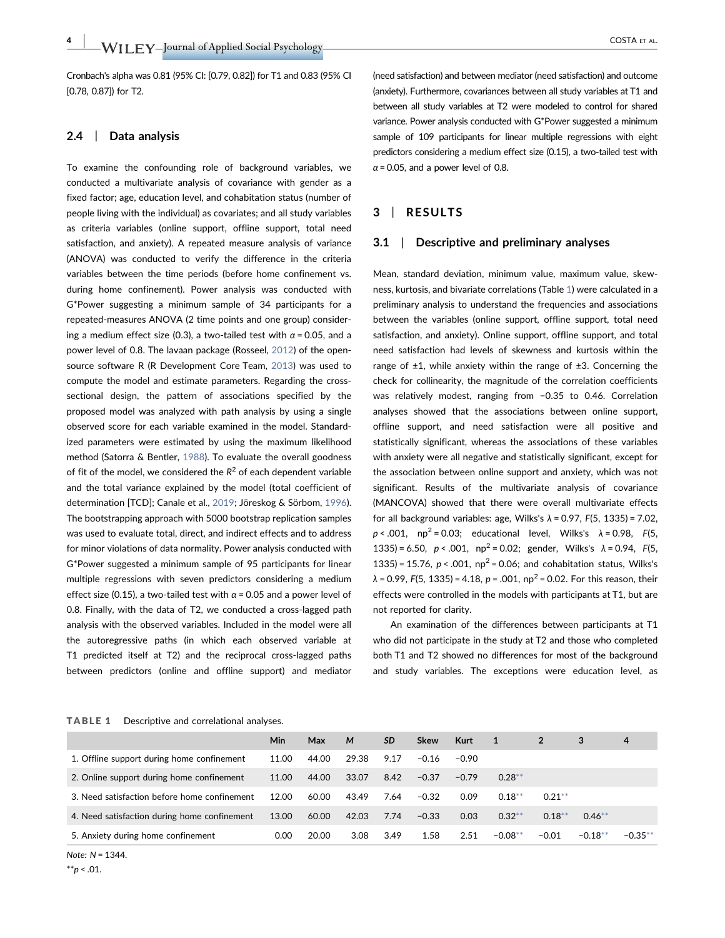Cronbach's alpha was 0.81 (95% CI: [0.79, 0.82]) for T1 and 0.83 (95% CI [0.78, 0.87]) for T2.

## 2.4 | Data analysis

To examine the confounding role of background variables, we conducted a multivariate analysis of covariance with gender as a fixed factor; age, education level, and cohabitation status (number of people living with the individual) as covariates; and all study variables as criteria variables (online support, offline support, total need satisfaction, and anxiety). A repeated measure analysis of variance (ANOVA) was conducted to verify the difference in the criteria variables between the time periods (before home confinement vs. during home confinement). Power analysis was conducted with G\*Power suggesting a minimum sample of 34 participants for a repeated‐measures ANOVA (2 time points and one group) considering a medium effect size (0.3), a two-tailed test with  $\alpha$  = 0.05, and a power level of 0.8. The lavaan package (Rosseel, 2012) of the open‐ source software R (R Development Core Team, 2013) was used to compute the model and estimate parameters. Regarding the cross‐ sectional design, the pattern of associations specified by the proposed model was analyzed with path analysis by using a single observed score for each variable examined in the model. Standardized parameters were estimated by using the maximum likelihood method (Satorra & Bentler, 1988). To evaluate the overall goodness of fit of the model, we considered the  $R^2$  of each dependent variable and the total variance explained by the model (total coefficient of determination [TCD]; Canale et al., 2019; Jöreskog & Sörbom, 1996). The bootstrapping approach with 5000 bootstrap replication samples was used to evaluate total, direct, and indirect effects and to address for minor violations of data normality. Power analysis conducted with G\*Power suggested a minimum sample of 95 participants for linear multiple regressions with seven predictors considering a medium effect size (0.15), a two-tailed test with  $\alpha$  = 0.05 and a power level of 0.8. Finally, with the data of T2, we conducted a cross‐lagged path analysis with the observed variables. Included in the model were all the autoregressive paths (in which each observed variable at T1 predicted itself at T2) and the reciprocal cross‐lagged paths between predictors (online and offline support) and mediator (need satisfaction) and between mediator (need satisfaction) and outcome (anxiety). Furthermore, covariances between all study variables at T1 and between all study variables at T2 were modeled to control for shared variance. Power analysis conducted with G\*Power suggested a minimum sample of 109 participants for linear multiple regressions with eight predictors considering a medium effect size (0.15), a two-tailed test with  $\alpha$  = 0.05, and a power level of 0.8.

## 3 | RESULTS

#### 3.1 | Descriptive and preliminary analyses

Mean, standard deviation, minimum value, maximum value, skewness, kurtosis, and bivariate correlations (Table 1) were calculated in a preliminary analysis to understand the frequencies and associations between the variables (online support, offline support, total need satisfaction, and anxiety). Online support, offline support, and total need satisfaction had levels of skewness and kurtosis within the range of  $\pm 1$ , while anxiety within the range of  $\pm 3$ . Concerning the check for collinearity, the magnitude of the correlation coefficients was relatively modest, ranging from −0.35 to 0.46. Correlation analyses showed that the associations between online support, offline support, and need satisfaction were all positive and statistically significant, whereas the associations of these variables with anxiety were all negative and statistically significant, except for the association between online support and anxiety, which was not significant. Results of the multivariate analysis of covariance (MANCOVA) showed that there were overall multivariate effects for all background variables: age, Wilks's  $\lambda$  = 0.97, F(5, 1335) = 7.02,  $p < .001$ , np<sup>2</sup> = 0.03; educational level, Wilks's  $\lambda$  = 0.98, F(5, 1335) = 6.50,  $p < .001$ ,  $np^2 = 0.02$ ; gender, Wilks's  $\lambda = 0.94$ , F(5, 1335) = 15.76,  $p < .001$ ,  $np^2 = 0.06$ ; and cohabitation status, Wilks's  $\lambda$  = 0.99, F(5, 1335) = 4.18, p = .001, np<sup>2</sup> = 0.02. For this reason, their effects were controlled in the models with participants at T1, but are not reported for clarity.

An examination of the differences between participants at T1 who did not participate in the study at T2 and those who completed both T1 and T2 showed no differences for most of the background and study variables. The exceptions were education level, as

TABLE 1 Descriptive and correlational analyses.

|                                              | Min   | Max   | M     | <b>SD</b> | Skew    | <b>Kurt</b> | 1         | 2         | з         | 4          |
|----------------------------------------------|-------|-------|-------|-----------|---------|-------------|-----------|-----------|-----------|------------|
| 1. Offline support during home confinement   | 11.00 | 44.00 | 29.38 | 9.17      | $-0.16$ | $-0.90$     |           |           |           |            |
| 2. Online support during home confinement    | 11.00 | 44.00 | 33.07 | 8.42      | $-0.37$ | $-0.79$     | $0.28**$  |           |           |            |
| 3. Need satisfaction before home confinement | 12.00 | 60.00 | 43.49 | 7.64      | $-0.32$ | 0.09        | $0.18***$ | $0.21***$ |           |            |
| 4. Need satisfaction during home confinement | 13.00 | 60.00 | 42.03 | 7.74      | $-0.33$ | 0.03        | $0.32**$  | $0.18**$  | $0.46***$ |            |
| 5. Anxiety during home confinement           | 0.00  | 20.00 | 3.08  | 3.49      | 1.58    | 2.51        | $-0.08**$ | $-0.01$   | $-0.18**$ | $-0.35***$ |

Note: N = 1344.

 $*^{*}p < .01$ .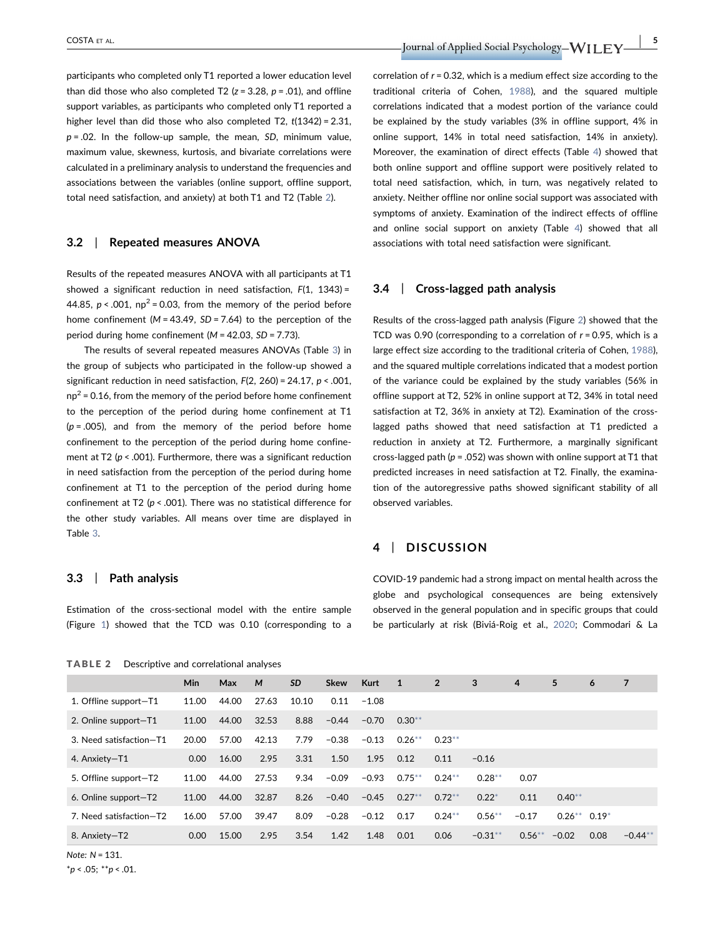participants who completed only T1 reported a lower education level than did those who also completed T2 ( $z = 3.28$ ,  $p = .01$ ), and offline support variables, as participants who completed only T1 reported a higher level than did those who also completed T2,  $t(1342) = 2.31$ ,  $p = .02$ . In the follow-up sample, the mean, SD, minimum value, maximum value, skewness, kurtosis, and bivariate correlations were calculated in a preliminary analysis to understand the frequencies and associations between the variables (online support, offline support, total need satisfaction, and anxiety) at both T1 and T2 (Table 2).

#### 3.2 | Repeated measures ANOVA

Results of the repeated measures ANOVA with all participants at T1 showed a significant reduction in need satisfaction,  $F(1, 1343) =$ 44.85,  $p < .001$ , np<sup>2</sup> = 0.03, from the memory of the period before home confinement ( $M = 43.49$ ,  $SD = 7.64$ ) to the perception of the period during home confinement ( $M = 42.03$ ,  $SD = 7.73$ ).

The results of several repeated measures ANOVAs (Table 3) in the group of subjects who participated in the follow‐up showed a significant reduction in need satisfaction,  $F(2, 260) = 24.17$ ,  $p < .001$ ,  $np^2$  = 0.16, from the memory of the period before home confinement to the perception of the period during home confinement at T1  $(p = .005)$ , and from the memory of the period before home confinement to the perception of the period during home confinement at T2 ( $p < .001$ ). Furthermore, there was a significant reduction in need satisfaction from the perception of the period during home confinement at T1 to the perception of the period during home confinement at T2 ( $p < .001$ ). There was no statistical difference for the other study variables. All means over time are displayed in Table 3.

## 3.3 | Path analysis

Estimation of the cross‐sectional model with the entire sample (Figure 1) showed that the TCD was 0.10 (corresponding to a

TABLE 2 Descriptive and correlational analyses

correlation of  $r = 0.32$ , which is a medium effect size according to the traditional criteria of Cohen, 1988), and the squared multiple correlations indicated that a modest portion of the variance could be explained by the study variables (3% in offline support, 4% in online support, 14% in total need satisfaction, 14% in anxiety). Moreover, the examination of direct effects (Table 4) showed that both online support and offline support were positively related to total need satisfaction, which, in turn, was negatively related to anxiety. Neither offline nor online social support was associated with symptoms of anxiety. Examination of the indirect effects of offline and online social support on anxiety (Table 4) showed that all associations with total need satisfaction were significant.

#### 3.4 | Cross‐lagged path analysis

Results of the cross‐lagged path analysis (Figure 2) showed that the TCD was 0.90 (corresponding to a correlation of  $r = 0.95$ , which is a large effect size according to the traditional criteria of Cohen, 1988), and the squared multiple correlations indicated that a modest portion of the variance could be explained by the study variables (56% in offline support at T2, 52% in online support at T2, 34% in total need satisfaction at T2, 36% in anxiety at T2). Examination of the cross‐ lagged paths showed that need satisfaction at T1 predicted a reduction in anxiety at T2. Furthermore, a marginally significant cross-lagged path ( $p = .052$ ) was shown with online support at T1 that predicted increases in need satisfaction at T2. Finally, the examination of the autoregressive paths showed significant stability of all observed variables.

## 4 | DISCUSSION

COVID‐19 pandemic had a strong impact on mental health across the globe and psychological consequences are being extensively observed in the general population and in specific groups that could be particularly at risk (Biviá‐Roig et al., 2020; Commodari & La

|                         | <b>Min</b> | Max   | M     | <b>SD</b> | <b>Skew</b> | <b>Kurt</b> | $\blacktriangle$ 1 | $\overline{2}$ | 3          | 4         | 5               | 6    | 7         |
|-------------------------|------------|-------|-------|-----------|-------------|-------------|--------------------|----------------|------------|-----------|-----------------|------|-----------|
| 1. Offline support-T1   | 11.00      | 44.00 | 27.63 | 10.10     | 0.11        | $-1.08$     |                    |                |            |           |                 |      |           |
| 2. Online support-T1    | 11.00      | 44.00 | 32.53 | 8.88      | $-0.44$     | $-0.70$     | $0.30**$           |                |            |           |                 |      |           |
| 3. Need satisfaction-T1 | 20.00      | 57.00 | 42.13 | 7.79      | $-0.38$     | $-0.13$     | $0.26***$          | $0.23***$      |            |           |                 |      |           |
| 4. Anxiety-T1           | 0.00       | 16.00 | 2.95  | 3.31      | 1.50        | 1.95        | 0.12               | 0.11           | $-0.16$    |           |                 |      |           |
| 5. Offline support-T2   | 11.00      | 44.00 | 27.53 | 9.34      | $-0.09$     | $-0.93$     | $0.75***$          | $0.24***$      | $0.28**$   | 0.07      |                 |      |           |
| 6. Online support-T2    | 11.00      | 44.00 | 32.87 | 8.26      | $-0.40$     | $-0.45$     | $0.27**$           | $0.72***$      | $0.22*$    | 0.11      | $0.40**$        |      |           |
| 7. Need satisfaction-T2 | 16.00      | 57.00 | 39.47 | 8.09      | $-0.28$     | $-0.12$     | 0.17               | $0.24***$      | $0.56***$  | $-0.17$   | $0.26***$ 0.19* |      |           |
| 8. Anxiety-T2           | 0.00       | 15.00 | 2.95  | 3.54      | 1.42        | 1.48        | 0.01               | 0.06           | $-0.31***$ | $0.56***$ | $-0.02$         | 0.08 | $-0.44**$ |

Note: N = 131.

 $*_{p}$  < .05;  $*_{p}$  < .01.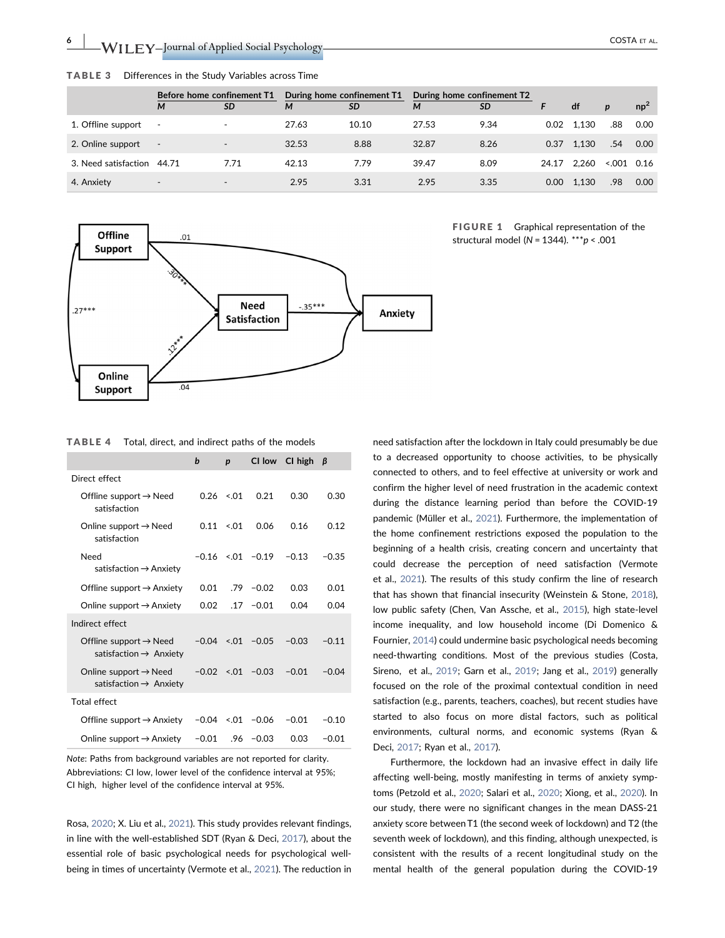$\mathsf{WIEY}\text{-}$  Journal of Applied Social Psychology $\text{\textcolor{red}{\text{---}}}\qquad\qquad \text{\textcolor{red}{\text{---}}}\qquad\qquad \text{\textcolor{red}{\text{---}}}\qquad\qquad \text{\textcolor{red}{\text{---}}}\qquad\qquad \text{\textcolor{red}{\text{---}}}\qquad\qquad \text{\textcolor{red}{\text{---}}}\qquad\qquad \text{\textcolor{red}{\text{---}}}\qquad\qquad \text{\textcolor{red}{\text{---}}}\qquad\qquad \text{\textcolor{red}{\text{---}}}\qquad\q$ 

|                            | Before home confinement T1 |                          | During home confinement T1 |           | During home confinement T2 |           |                   |       |                  |        |
|----------------------------|----------------------------|--------------------------|----------------------------|-----------|----------------------------|-----------|-------------------|-------|------------------|--------|
|                            | M                          | <b>SD</b>                | м                          | <b>SD</b> | M                          | <b>SD</b> |                   | df    | $\boldsymbol{p}$ | $np^2$ |
| 1. Offline support         |                            |                          | 27.63                      | 10.10     | 27.53                      | 9.34      | 0.02              | 1.130 | .88              | 0.00   |
| 2. Online support          | $\overline{\phantom{a}}$   | $\overline{\phantom{0}}$ | 32.53                      | 8.88      | 32.87                      | 8.26      | 0.37              | 1.130 | .54              | 0.00   |
| 3. Need satisfaction 44.71 |                            | 7.71                     | 42.13                      | 7.79      | 39.47                      | 8.09      | 24.17             | 2.260 | 0.16             |        |
| 4. Anxiety                 | $\overline{\phantom{a}}$   | $\overline{\phantom{0}}$ | 2.95                       | 3.31      | 2.95                       | 3.35      | 0.00 <sub>1</sub> | 1.130 | .98              | 0.00   |

TABLE 3 Differences in the Study Variables across Time



FIGURE 1 Graphical representation of the structural model (N = 1344). \*\*\*  $p < .001$ 

TABLE 4 Total, direct, and indirect paths of the models

|                                                                          | b       | $\boldsymbol{p}$ | CI low                  | CI high | B       |
|--------------------------------------------------------------------------|---------|------------------|-------------------------|---------|---------|
| Direct effect                                                            |         |                  |                         |         |         |
| Offline support $\rightarrow$ Need<br>satisfaction                       |         | $0.26 \le 01$    | 0.21                    | 0.30    | 0.30    |
| Online support $\rightarrow$ Need<br>satisfaction                        | 0.11    | $-.01$           | 0.06                    | 0.16    | 0.12    |
| Need<br>satisfaction $\rightarrow$ Anxiety                               |         |                  | $-0.16 \le 01 - 0.19$   | $-0.13$ | $-0.35$ |
| Offline support $\rightarrow$ Anxiety                                    | 0.01    | .79              | $-0.02$                 | 0.03    | 0.01    |
| Online support $\rightarrow$ Anxiety                                     | 0.02    |                  | $.17 - 0.01$            | 0.04    | 0.04    |
| Indirect effect                                                          |         |                  |                         |         |         |
| Offline support $\rightarrow$ Need<br>satisfaction $\rightarrow$ Anxiety |         |                  | $-0.04 \le 0.01 - 0.05$ | $-0.03$ | $-0.11$ |
| Online support $\rightarrow$ Need<br>satisfaction $\rightarrow$ Anxiety  |         |                  | $-0.02 \le 01 - 0.03$   | $-0.01$ | $-0.04$ |
| <b>Total effect</b>                                                      |         |                  |                         |         |         |
| Offline support $\rightarrow$ Anxiety                                    |         |                  | $-0.04$ <.01 $-0.06$    | $-0.01$ | $-0.10$ |
| Online support $\rightarrow$ Anxiety                                     | $-0.01$ |                  | $.96 - 0.03$            | 0.03    | $-0.01$ |

Note: Paths from background variables are not reported for clarity. Abbreviations: CI low, lower level of the confidence interval at 95%; CI high, higher level of the confidence interval at 95%.

Rosa, 2020; X. Liu et al., 2021). This study provides relevant findings, in line with the well‐established SDT (Ryan & Deci, 2017), about the essential role of basic psychological needs for psychological well‐ being in times of uncertainty (Vermote et al., 2021). The reduction in need satisfaction after the lockdown in Italy could presumably be due to a decreased opportunity to choose activities, to be physically connected to others, and to feel effective at university or work and confirm the higher level of need frustration in the academic context during the distance learning period than before the COVID‐19 pandemic (Müller et al., 2021). Furthermore, the implementation of the home confinement restrictions exposed the population to the beginning of a health crisis, creating concern and uncertainty that could decrease the perception of need satisfaction (Vermote et al., 2021). The results of this study confirm the line of research that has shown that financial insecurity (Weinstein & Stone, 2018), low public safety (Chen, Van Assche, et al., 2015), high state‐level income inequality, and low household income (Di Domenico & Fournier, 2014) could undermine basic psychological needs becoming need-thwarting conditions. Most of the previous studies (Costa, Sireno, et al., 2019; Garn et al., 2019; Jang et al., 2019) generally focused on the role of the proximal contextual condition in need satisfaction (e.g., parents, teachers, coaches), but recent studies have started to also focus on more distal factors, such as political environments, cultural norms, and economic systems (Ryan & Deci, 2017; Ryan et al., 2017).

Furthermore, the lockdown had an invasive effect in daily life affecting well‐being, mostly manifesting in terms of anxiety symptoms (Petzold et al., 2020; Salari et al., 2020; Xiong, et al., 2020). In our study, there were no significant changes in the mean DASS‐21 anxiety score between T1 (the second week of lockdown) and T2 (the seventh week of lockdown), and this finding, although unexpected, is consistent with the results of a recent longitudinal study on the mental health of the general population during the COVID‐19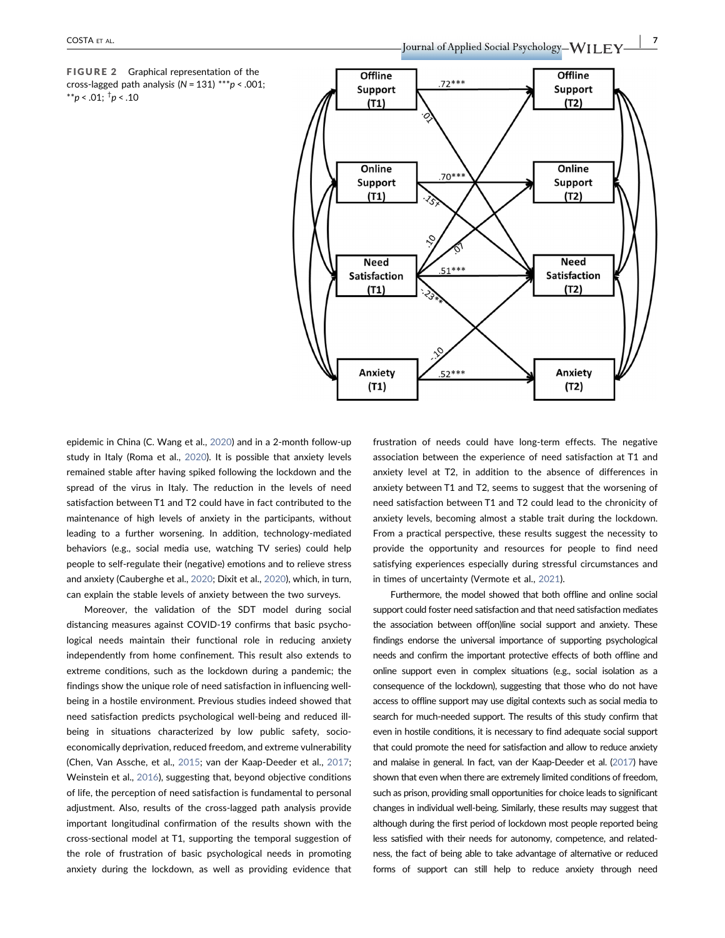FIGURE 2 Graphical representation of the cross-lagged path analysis ( $N = 131$ ) \*\*\* $p < .001$ ; \*\*p < .01;  $\frac{1}{7}p$  < .10



epidemic in China (C. Wang et al., 2020) and in a 2‐month follow‐up study in Italy (Roma et al., 2020). It is possible that anxiety levels remained stable after having spiked following the lockdown and the spread of the virus in Italy. The reduction in the levels of need satisfaction between T1 and T2 could have in fact contributed to the maintenance of high levels of anxiety in the participants, without leading to a further worsening. In addition, technology-mediated behaviors (e.g., social media use, watching TV series) could help people to self‐regulate their (negative) emotions and to relieve stress and anxiety (Cauberghe et al., 2020; Dixit et al., 2020), which, in turn, can explain the stable levels of anxiety between the two surveys.

Moreover, the validation of the SDT model during social distancing measures against COVID‐19 confirms that basic psychological needs maintain their functional role in reducing anxiety independently from home confinement. This result also extends to extreme conditions, such as the lockdown during a pandemic; the findings show the unique role of need satisfaction in influencing well‐ being in a hostile environment. Previous studies indeed showed that need satisfaction predicts psychological well‐being and reduced ill‐ being in situations characterized by low public safety, socioeconomically deprivation, reduced freedom, and extreme vulnerability (Chen, Van Assche, et al., 2015; van der Kaap‐Deeder et al., 2017; Weinstein et al., 2016), suggesting that, beyond objective conditions of life, the perception of need satisfaction is fundamental to personal adjustment. Also, results of the cross‐lagged path analysis provide important longitudinal confirmation of the results shown with the cross‐sectional model at T1, supporting the temporal suggestion of the role of frustration of basic psychological needs in promoting anxiety during the lockdown, as well as providing evidence that frustration of needs could have long-term effects. The negative association between the experience of need satisfaction at T1 and anxiety level at T2, in addition to the absence of differences in anxiety between T1 and T2, seems to suggest that the worsening of need satisfaction between T1 and T2 could lead to the chronicity of anxiety levels, becoming almost a stable trait during the lockdown. From a practical perspective, these results suggest the necessity to provide the opportunity and resources for people to find need satisfying experiences especially during stressful circumstances and in times of uncertainty (Vermote et al., 2021).

Furthermore, the model showed that both offline and online social support could foster need satisfaction and that need satisfaction mediates the association between off(on)line social support and anxiety. These findings endorse the universal importance of supporting psychological needs and confirm the important protective effects of both offline and online support even in complex situations (e.g., social isolation as a consequence of the lockdown), suggesting that those who do not have access to offline support may use digital contexts such as social media to search for much-needed support. The results of this study confirm that even in hostile conditions, it is necessary to find adequate social support that could promote the need for satisfaction and allow to reduce anxiety and malaise in general. In fact, van der Kaap‐Deeder et al. (2017) have shown that even when there are extremely limited conditions of freedom, such as prison, providing small opportunities for choice leads to significant changes in individual well‐being. Similarly, these results may suggest that although during the first period of lockdown most people reported being less satisfied with their needs for autonomy, competence, and relatedness, the fact of being able to take advantage of alternative or reduced forms of support can still help to reduce anxiety through need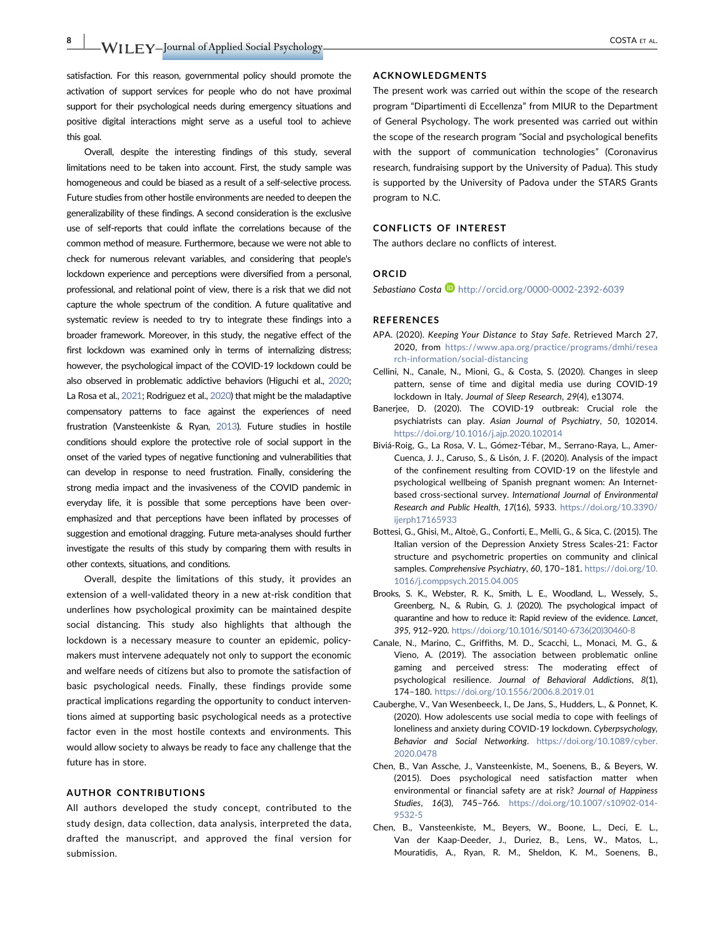$\rm WILEY$ –Journal of Applied Social Psychology $\rm WILEY$ –Journal of Applied Social Psychology $\rm WILEY$ –Journal of Applied Social Psychology $\rm WIEY$ 

satisfaction. For this reason, governmental policy should promote the activation of support services for people who do not have proximal support for their psychological needs during emergency situations and positive digital interactions might serve as a useful tool to achieve this goal.

Overall, despite the interesting findings of this study, several limitations need to be taken into account. First, the study sample was homogeneous and could be biased as a result of a self‐selective process. Future studies from other hostile environments are needed to deepen the generalizability of these findings. A second consideration is the exclusive use of self‐reports that could inflate the correlations because of the common method of measure. Furthermore, because we were not able to check for numerous relevant variables, and considering that people's lockdown experience and perceptions were diversified from a personal, professional, and relational point of view, there is a risk that we did not capture the whole spectrum of the condition. A future qualitative and systematic review is needed to try to integrate these findings into a broader framework. Moreover, in this study, the negative effect of the first lockdown was examined only in terms of internalizing distress; however, the psychological impact of the COVID‐19 lockdown could be also observed in problematic addictive behaviors (Higuchi et al., 2020; La Rosa et al., 2021; Rodriguez et al., 2020) that might be the maladaptive compensatory patterns to face against the experiences of need frustration (Vansteenkiste & Ryan, 2013). Future studies in hostile conditions should explore the protective role of social support in the onset of the varied types of negative functioning and vulnerabilities that can develop in response to need frustration. Finally, considering the strong media impact and the invasiveness of the COVID pandemic in everyday life, it is possible that some perceptions have been overemphasized and that perceptions have been inflated by processes of suggestion and emotional dragging. Future meta-analyses should further investigate the results of this study by comparing them with results in other contexts, situations, and conditions.

Overall, despite the limitations of this study, it provides an extension of a well-validated theory in a new at-risk condition that underlines how psychological proximity can be maintained despite social distancing. This study also highlights that although the lockdown is a necessary measure to counter an epidemic, policymakers must intervene adequately not only to support the economic and welfare needs of citizens but also to promote the satisfaction of basic psychological needs. Finally, these findings provide some practical implications regarding the opportunity to conduct interventions aimed at supporting basic psychological needs as a protective factor even in the most hostile contexts and environments. This would allow society to always be ready to face any challenge that the future has in store.

#### AUTHOR CONTRIBUTIONS

All authors developed the study concept, contributed to the study design, data collection, data analysis, interpreted the data, drafted the manuscript, and approved the final version for submission.

#### ACKNOWLEDGMENTS

The present work was carried out within the scope of the research program "Dipartimenti di Eccellenza" from MIUR to the Department of General Psychology. The work presented was carried out within the scope of the research program "Social and psychological benefits with the support of communication technologies" (Coronavirus research, fundraising support by the University of Padua). This study is supported by the University of Padova under the STARS Grants program to N.C.

#### CONFLICTS OF INTEREST

The authors declare no conflicts of interest.

#### ORCID

Sebastiano Costa D http://orcid.org/0000-0002-2392-6039

#### REFERENCES

- APA. (2020). Keeping Your Distance to Stay Safe. Retrieved March 27, 2020, from https://www.apa.org/practice/programs/dmhi/resea rch-information/social-distancing
- Cellini, N., Canale, N., Mioni, G., & Costa, S. (2020). Changes in sleep pattern, sense of time and digital media use during COVID‐19 lockdown in Italy. Journal of Sleep Research, 29(4), e13074.
- Banerjee, D. (2020). The COVID‐19 outbreak: Crucial role the psychiatrists can play. Asian Journal of Psychiatry, 50, 102014. https://doi.org/10.1016/j.ajp.2020.102014
- Biviá‐Roig, G., La Rosa, V. L., Gómez‐Tébar, M., Serrano‐Raya, L., Amer‐ Cuenca, J. J., Caruso, S., & Lisón, J. F. (2020). Analysis of the impact of the confinement resulting from COVID‐19 on the lifestyle and psychological wellbeing of Spanish pregnant women: An Internet‐ based cross‐sectional survey. International Journal of Environmental Research and Public Health, 17(16), 5933. https://doi.org/10.3390/ ijerph17165933
- Bottesi, G., Ghisi, M., Altoè, G., Conforti, E., Melli, G., & Sica, C. (2015). The Italian version of the Depression Anxiety Stress Scales‐21: Factor structure and psychometric properties on community and clinical samples. Comprehensive Psychiatry, 60, 170-181. https://doi.org/10. 1016/j.comppsych.2015.04.005
- Brooks, S. K., Webster, R. K., Smith, L. E., Woodland, L., Wessely, S., Greenberg, N., & Rubin, G. J. (2020). The psychological impact of quarantine and how to reduce it: Rapid review of the evidence. Lancet, 395, 912–920. https://doi.org/10.1016/S0140-6736(20)30460-8
- Canale, N., Marino, C., Griffiths, M. D., Scacchi, L., Monaci, M. G., & Vieno, A. (2019). The association between problematic online gaming and perceived stress: The moderating effect of psychological resilience. Journal of Behavioral Addictions, 8(1), 174–180. https://doi.org/10.1556/2006.8.2019.01
- Cauberghe, V., Van Wesenbeeck, I., De Jans, S., Hudders, L., & Ponnet, K. (2020). How adolescents use social media to cope with feelings of loneliness and anxiety during COVID‐19 lockdown. Cyberpsychology, Behavior and Social Networking. https://doi.org/10.1089/cyber. 2020.0478
- Chen, B., Van Assche, J., Vansteenkiste, M., Soenens, B., & Beyers, W. (2015). Does psychological need satisfaction matter when environmental or financial safety are at risk? Journal of Happiness Studies, 16(3), 745–766. https://doi.org/10.1007/s10902-014- 9532-5
- Chen, B., Vansteenkiste, M., Beyers, W., Boone, L., Deci, E. L., Van der Kaap‐Deeder, J., Duriez, B., Lens, W., Matos, L., Mouratidis, A., Ryan, R. M., Sheldon, K. M., Soenens, B.,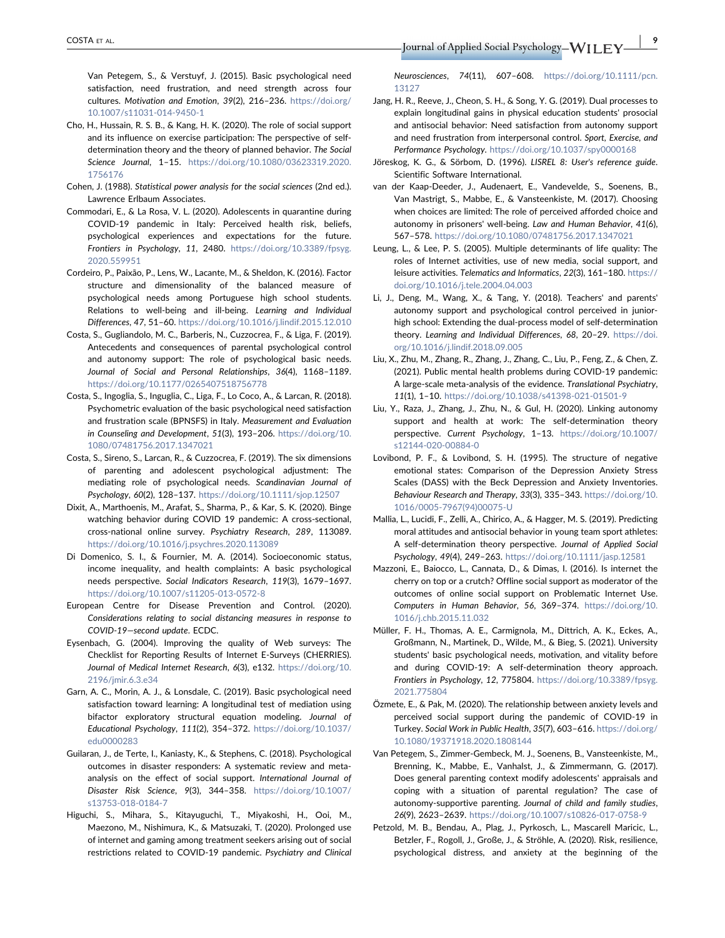Van Petegem, S., & Verstuyf, J. (2015). Basic psychological need satisfaction, need frustration, and need strength across four cultures. Motivation and Emotion, 39(2), 216–236. https://doi.org/ 10.1007/s11031-014-9450-1

- Cho, H., Hussain, R. S. B., & Kang, H. K. (2020). The role of social support and its influence on exercise participation: The perspective of self‐ determination theory and the theory of planned behavior. The Social Science Journal, 1–15. https://doi.org/10.1080/03623319.2020. 1756176
- Cohen, J. (1988). Statistical power analysis for the social sciences (2nd ed.). Lawrence Erlbaum Associates.
- Commodari, E., & La Rosa, V. L. (2020). Adolescents in quarantine during COVID‐19 pandemic in Italy: Perceived health risk, beliefs, psychological experiences and expectations for the future. Frontiers in Psychology, 11, 2480. https://doi.org/10.3389/fpsyg. 2020.559951
- Cordeiro, P., Paixão, P., Lens, W., Lacante, M., & Sheldon, K. (2016). Factor structure and dimensionality of the balanced measure of psychological needs among Portuguese high school students. Relations to well-being and ill-being. Learning and Individual Differences, 47, 51–60. https://doi.org/10.1016/j.lindif.2015.12.010
- Costa, S., Gugliandolo, M. C., Barberis, N., Cuzzocrea, F., & Liga, F. (2019). Antecedents and consequences of parental psychological control and autonomy support: The role of psychological basic needs. Journal of Social and Personal Relationships, 36(4), 1168–1189. https://doi.org/10.1177/0265407518756778
- Costa, S., Ingoglia, S., Inguglia, C., Liga, F., Lo Coco, A., & Larcan, R. (2018). Psychometric evaluation of the basic psychological need satisfaction and frustration scale (BPNSFS) in Italy. Measurement and Evaluation in Counseling and Development, 51(3), 193–206. https://doi.org/10. 1080/07481756.2017.1347021
- Costa, S., Sireno, S., Larcan, R., & Cuzzocrea, F. (2019). The six dimensions of parenting and adolescent psychological adjustment: The mediating role of psychological needs. Scandinavian Journal of Psychology, 60(2), 128–137. https://doi.org/10.1111/sjop.12507
- Dixit, A., Marthoenis, M., Arafat, S., Sharma, P., & Kar, S. K. (2020). Binge watching behavior during COVID 19 pandemic: A cross-sectional, cross‐national online survey. Psychiatry Research, 289, 113089. https://doi.org/10.1016/j.psychres.2020.113089
- Di Domenico, S. I., & Fournier, M. A. (2014). Socioeconomic status, income inequality, and health complaints: A basic psychological needs perspective. Social Indicators Research, 119(3), 1679–1697. https://doi.org/10.1007/s11205-013-0572-8
- European Centre for Disease Prevention and Control. (2020). Considerations relating to social distancing measures in response to COVID‐19—second update. ECDC.
- Eysenbach, G. (2004). Improving the quality of Web surveys: The Checklist for Reporting Results of Internet E‐Surveys (CHERRIES). Journal of Medical Internet Research, 6(3), e132. https://doi.org/10. 2196/jmir.6.3.e34
- Garn, A. C., Morin, A. J., & Lonsdale, C. (2019). Basic psychological need satisfaction toward learning: A longitudinal test of mediation using bifactor exploratory structural equation modeling. Journal of Educational Psychology, 111(2), 354–372. https://doi.org/10.1037/ edu0000283
- Guilaran, J., de Terte, I., Kaniasty, K., & Stephens, C. (2018). Psychological outcomes in disaster responders: A systematic review and meta‐ analysis on the effect of social support. International Journal of Disaster Risk Science, 9(3), 344–358. https://doi.org/10.1007/ s13753-018-0184-7
- Higuchi, S., Mihara, S., Kitayuguchi, T., Miyakoshi, H., Ooi, M., Maezono, M., Nishimura, K., & Matsuzaki, T. (2020). Prolonged use of internet and gaming among treatment seekers arising out of social restrictions related to COVID‐19 pandemic. Psychiatry and Clinical

COSTA ET AL. | 9

Neurosciences, 74(11), 607–608. https://doi.org/10.1111/pcn. 13127

- Jang, H. R., Reeve, J., Cheon, S. H., & Song, Y. G. (2019). Dual processes to explain longitudinal gains in physical education students' prosocial and antisocial behavior: Need satisfaction from autonomy support and need frustration from interpersonal control. Sport, Exercise, and Performance Psychology. https://doi.org/10.1037/spy0000168
- Jöreskog, K. G., & Sörbom, D. (1996). LISREL 8: User's reference guide. Scientific Software International.
- van der Kaap‐Deeder, J., Audenaert, E., Vandevelde, S., Soenens, B., Van Mastrigt, S., Mabbe, E., & Vansteenkiste, M. (2017). Choosing when choices are limited: The role of perceived afforded choice and autonomy in prisoners' well‐being. Law and Human Behavior, 41(6), 567–578. https://doi.org/10.1080/07481756.2017.1347021
- Leung, L., & Lee, P. S. (2005). Multiple determinants of life quality: The roles of Internet activities, use of new media, social support, and leisure activities. Telematics and Informatics, 22(3), 161–180. https:// doi.org/10.1016/j.tele.2004.04.003
- Li, J., Deng, M., Wang, X., & Tang, Y. (2018). Teachers' and parents' autonomy support and psychological control perceived in junior‐ high school: Extending the dual-process model of self-determination theory. Learning and Individual Differences, 68, 20–29. https://doi. org/10.1016/j.lindif.2018.09.005
- Liu, X., Zhu, M., Zhang, R., Zhang, J., Zhang, C., Liu, P., Feng, Z., & Chen, Z. (2021). Public mental health problems during COVID‐19 pandemic: A large‐scale meta‐analysis of the evidence. Translational Psychiatry, 11(1), 1–10. https://doi.org/10.1038/s41398-021-01501-9
- Liu, Y., Raza, J., Zhang, J., Zhu, N., & Gul, H. (2020). Linking autonomy support and health at work: The self-determination theory perspective. Current Psychology, 1–13. https://doi.org/10.1007/ s12144-020-00884-0
- Lovibond, P. F., & Lovibond, S. H. (1995). The structure of negative emotional states: Comparison of the Depression Anxiety Stress Scales (DASS) with the Beck Depression and Anxiety Inventories. Behaviour Research and Therapy, 33(3), 335–343. https://doi.org/10. 1016/0005-7967(94)00075-U
- Mallia, L., Lucidi, F., Zelli, A., Chirico, A., & Hagger, M. S. (2019). Predicting moral attitudes and antisocial behavior in young team sport athletes: A self‐determination theory perspective. Journal of Applied Social Psychology, 49(4), 249–263. https://doi.org/10.1111/jasp.12581
- Mazzoni, E., Baiocco, L., Cannata, D., & Dimas, I. (2016). Is internet the cherry on top or a crutch? Offline social support as moderator of the outcomes of online social support on Problematic Internet Use. Computers in Human Behavior, 56, 369–374. https://doi.org/10. 1016/j.chb.2015.11.032
- Müller, F. H., Thomas, A. E., Carmignola, M., Dittrich, A. K., Eckes, A., Großmann, N., Martinek, D., Wilde, M., & Bieg, S. (2021). University students' basic psychological needs, motivation, and vitality before and during COVID‐19: A self‐determination theory approach. Frontiers in Psychology, 12, 775804. https://doi.org/10.3389/fpsyg. 2021.775804
- Özmete, E., & Pak, M. (2020). The relationship between anxiety levels and perceived social support during the pandemic of COVID‐19 in Turkey. Social Work in Public Health, 35(7), 603–616. https://doi.org/ 10.1080/19371918.2020.1808144
- Van Petegem, S., Zimmer‐Gembeck, M. J., Soenens, B., Vansteenkiste, M., Brenning, K., Mabbe, E., Vanhalst, J., & Zimmermann, G. (2017). Does general parenting context modify adolescents' appraisals and coping with a situation of parental regulation? The case of autonomy‐supportive parenting. Journal of child and family studies, 26(9), 2623–2639. https://doi.org/10.1007/s10826-017-0758-9
- Petzold, M. B., Bendau, A., Plag, J., Pyrkosch, L., Mascarell Maricic, L., Betzler, F., Rogoll, J., Große, J., & Ströhle, A. (2020). Risk, resilience, psychological distress, and anxiety at the beginning of the